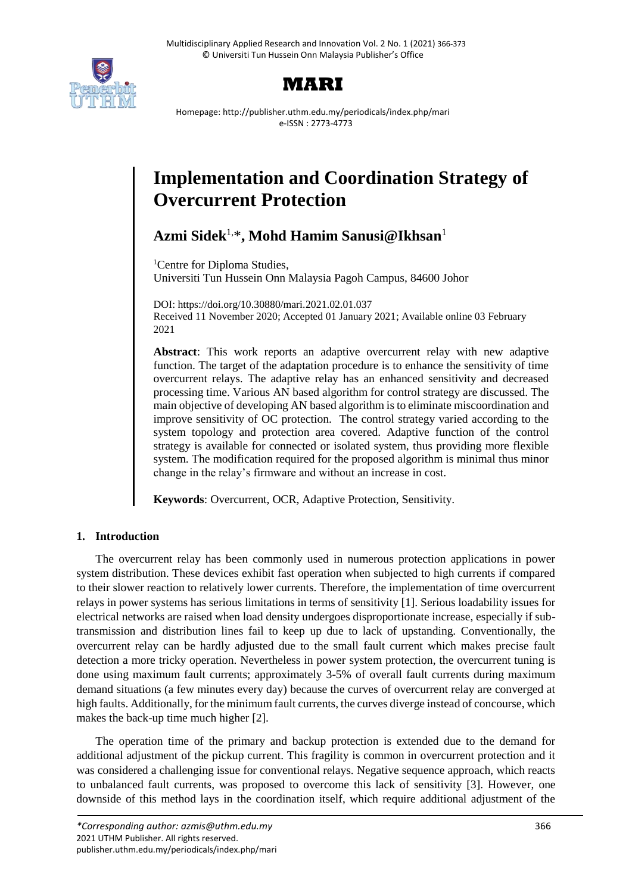



Homepage: http://publisher.uthm.edu.my/periodicals/index.php/mari e-ISSN : 2773-4773

# **Implementation and Coordination Strategy of Overcurrent Protection**

**Azmi Sidek**1,\* **, Mohd Hamim Sanusi@Ikhsan**<sup>1</sup>

<sup>1</sup>Centre for Diploma Studies, Universiti Tun Hussein Onn Malaysia Pagoh Campus, 84600 Johor

DOI: https://doi.org/10.30880/mari.2021.02.01.037 Received 11 November 2020; Accepted 01 January 2021; Available online 03 February 2021

**Abstract**: This work reports an adaptive overcurrent relay with new adaptive function. The target of the adaptation procedure is to enhance the sensitivity of time overcurrent relays. The adaptive relay has an enhanced sensitivity and decreased processing time. Various AN based algorithm for control strategy are discussed. The main objective of developing AN based algorithm is to eliminate miscoordination and improve sensitivity of OC protection. The control strategy varied according to the system topology and protection area covered. Adaptive function of the control strategy is available for connected or isolated system, thus providing more flexible system. The modification required for the proposed algorithm is minimal thus minor change in the relay's firmware and without an increase in cost.

**Keywords**: Overcurrent, OCR, Adaptive Protection, Sensitivity.

# **1. Introduction**

The overcurrent relay has been commonly used in numerous protection applications in power system distribution. These devices exhibit fast operation when subjected to high currents if compared to their slower reaction to relatively lower currents. Therefore, the implementation of time overcurrent relays in power systems has serious limitations in terms of sensitivity [1]. Serious loadability issues for electrical networks are raised when load density undergoes disproportionate increase, especially if subtransmission and distribution lines fail to keep up due to lack of upstanding. Conventionally, the overcurrent relay can be hardly adjusted due to the small fault current which makes precise fault detection a more tricky operation. Nevertheless in power system protection, the overcurrent tuning is done using maximum fault currents; approximately 3-5% of overall fault currents during maximum demand situations (a few minutes every day) because the curves of overcurrent relay are converged at high faults. Additionally, for the minimum fault currents, the curves diverge instead of concourse, which makes the back-up time much higher [2].

The operation time of the primary and backup protection is extended due to the demand for additional adjustment of the pickup current. This fragility is common in overcurrent protection and it was considered a challenging issue for conventional relays. Negative sequence approach, which reacts to unbalanced fault currents, was proposed to overcome this lack of sensitivity [3]. However, one downside of this method lays in the coordination itself, which require additional adjustment of the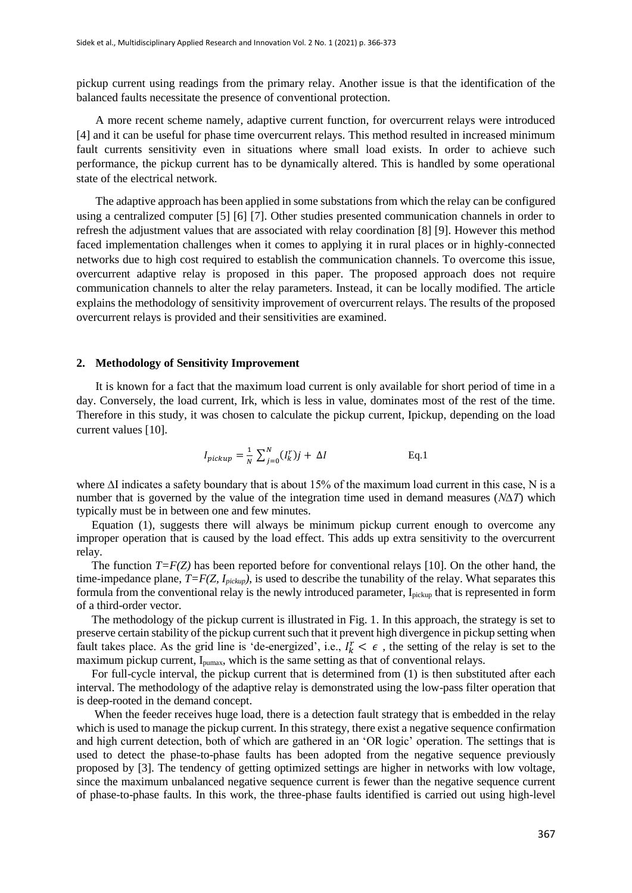pickup current using readings from the primary relay. Another issue is that the identification of the balanced faults necessitate the presence of conventional protection.

A more recent scheme namely, adaptive current function, for overcurrent relays were introduced [4] and it can be useful for phase time overcurrent relays. This method resulted in increased minimum fault currents sensitivity even in situations where small load exists. In order to achieve such performance, the pickup current has to be dynamically altered. This is handled by some operational state of the electrical network.

The adaptive approach has been applied in some substations from which the relay can be configured using a centralized computer [5] [6] [7]. Other studies presented communication channels in order to refresh the adjustment values that are associated with relay coordination [8] [9]. However this method faced implementation challenges when it comes to applying it in rural places or in highly-connected networks due to high cost required to establish the communication channels. To overcome this issue, overcurrent adaptive relay is proposed in this paper. The proposed approach does not require communication channels to alter the relay parameters. Instead, it can be locally modified. The article explains the methodology of sensitivity improvement of overcurrent relays. The results of the proposed overcurrent relays is provided and their sensitivities are examined.

#### **2. Methodology of Sensitivity Improvement**

It is known for a fact that the maximum load current is only available for short period of time in a day. Conversely, the load current, Irk, which is less in value, dominates most of the rest of the time. Therefore in this study, it was chosen to calculate the pickup current, Ipickup, depending on the load current values [10].

$$
I_{pickup} = \frac{1}{N} \sum_{j=0}^{N} (I_k^r) j + \Delta I
$$
 Eq.1

where ∆I indicates a safety boundary that is about 15% of the maximum load current in this case, N is a number that is governed by the value of the integration time used in demand measures (*N∆T*) which typically must be in between one and few minutes.

Equation (1), suggests there will always be minimum pickup current enough to overcome any improper operation that is caused by the load effect. This adds up extra sensitivity to the overcurrent relay.

The function  $T = F(Z)$  has been reported before for conventional relays [10]. On the other hand, the time-impedance plane,  $T = F(Z, I_{\text{pickup}})$ , is used to describe the tunability of the relay. What separates this formula from the conventional relay is the newly introduced parameter, Ipickup that is represented in form of a third-order vector.

The methodology of the pickup current is illustrated in Fig. 1. In this approach, the strategy is set to preserve certain stability of the pickup current such that it prevent high divergence in pickup setting when fault takes place. As the grid line is 'de-energized', i.e.,  $I_k^r < \epsilon$ , the setting of the relay is set to the maximum pickup current, I<sub>pumax</sub>, which is the same setting as that of conventional relays.

For full-cycle interval, the pickup current that is determined from (1) is then substituted after each interval. The methodology of the adaptive relay is demonstrated using the low-pass filter operation that is deep-rooted in the demand concept.

When the feeder receives huge load, there is a detection fault strategy that is embedded in the relay which is used to manage the pickup current. In this strategy, there exist a negative sequence confirmation and high current detection, both of which are gathered in an 'OR logic' operation. The settings that is used to detect the phase-to-phase faults has been adopted from the negative sequence previously proposed by [3]. The tendency of getting optimized settings are higher in networks with low voltage, since the maximum unbalanced negative sequence current is fewer than the negative sequence current of phase-to-phase faults. In this work, the three-phase faults identified is carried out using high-level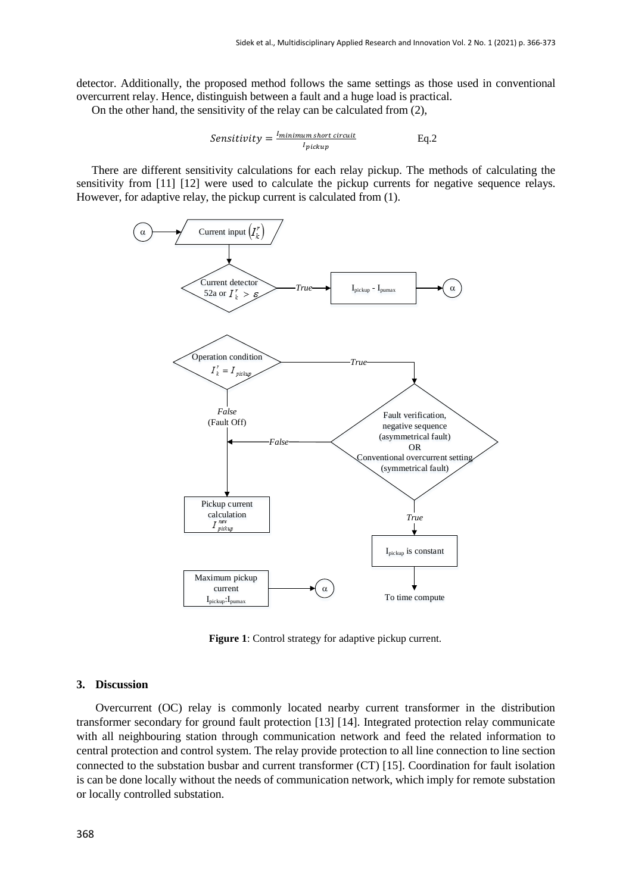detector. Additionally, the proposed method follows the same settings as those used in conventional overcurrent relay. Hence, distinguish between a fault and a huge load is practical.

On the other hand, the sensitivity of the relay can be calculated from (2),

$$
Sensitivity = \frac{I_{minimum \, short \, circuit}}{I_{pickup}}
$$
 Eq.2

There are different sensitivity calculations for each relay pickup. The methods of calculating the sensitivity from [11] [12] were used to calculate the pickup currents for negative sequence relays. However, for adaptive relay, the pickup current is calculated from (1).



**Figure 1**: Control strategy for adaptive pickup current.

# **3. Discussion**

Overcurrent (OC) relay is commonly located nearby current transformer in the distribution transformer secondary for ground fault protection [13] [14]. Integrated protection relay communicate with all neighbouring station through communication network and feed the related information to central protection and control system. The relay provide protection to all line connection to line section connected to the substation busbar and current transformer (CT) [15]. Coordination for fault isolation is can be done locally without the needs of communication network, which imply for remote substation or locally controlled substation.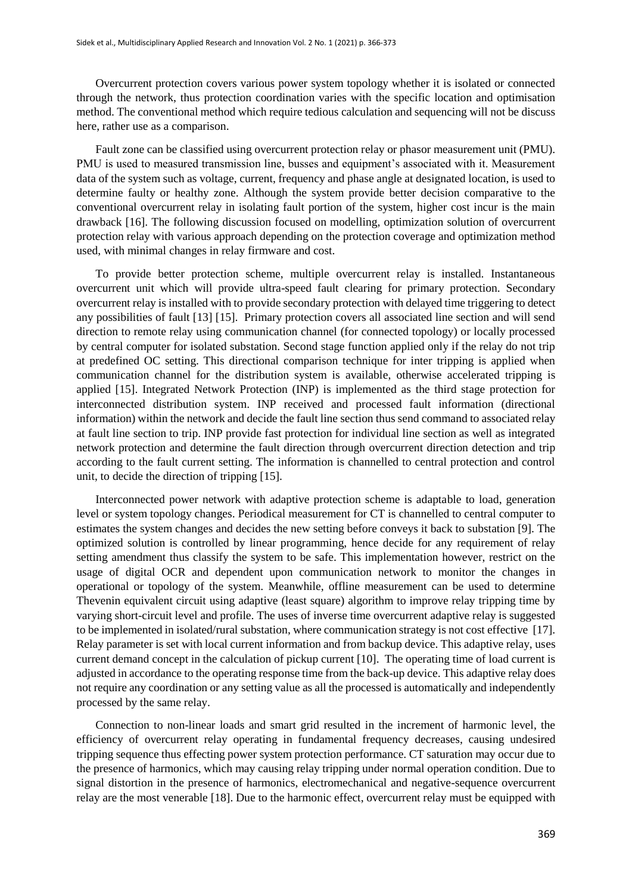Overcurrent protection covers various power system topology whether it is isolated or connected through the network, thus protection coordination varies with the specific location and optimisation method. The conventional method which require tedious calculation and sequencing will not be discuss here, rather use as a comparison.

Fault zone can be classified using overcurrent protection relay or phasor measurement unit (PMU). PMU is used to measured transmission line, busses and equipment's associated with it. Measurement data of the system such as voltage, current, frequency and phase angle at designated location, is used to determine faulty or healthy zone. Although the system provide better decision comparative to the conventional overcurrent relay in isolating fault portion of the system, higher cost incur is the main drawback [16]. The following discussion focused on modelling, optimization solution of overcurrent protection relay with various approach depending on the protection coverage and optimization method used, with minimal changes in relay firmware and cost.

To provide better protection scheme, multiple overcurrent relay is installed. Instantaneous overcurrent unit which will provide ultra-speed fault clearing for primary protection. Secondary overcurrent relay is installed with to provide secondary protection with delayed time triggering to detect any possibilities of fault [13] [15]. Primary protection covers all associated line section and will send direction to remote relay using communication channel (for connected topology) or locally processed by central computer for isolated substation. Second stage function applied only if the relay do not trip at predefined OC setting. This directional comparison technique for inter tripping is applied when communication channel for the distribution system is available, otherwise accelerated tripping is applied [15]. Integrated Network Protection (INP) is implemented as the third stage protection for interconnected distribution system. INP received and processed fault information (directional information) within the network and decide the fault line section thus send command to associated relay at fault line section to trip. INP provide fast protection for individual line section as well as integrated network protection and determine the fault direction through overcurrent direction detection and trip according to the fault current setting. The information is channelled to central protection and control unit, to decide the direction of tripping [15].

Interconnected power network with adaptive protection scheme is adaptable to load, generation level or system topology changes. Periodical measurement for CT is channelled to central computer to estimates the system changes and decides the new setting before conveys it back to substation [9]. The optimized solution is controlled by linear programming, hence decide for any requirement of relay setting amendment thus classify the system to be safe. This implementation however, restrict on the usage of digital OCR and dependent upon communication network to monitor the changes in operational or topology of the system. Meanwhile, offline measurement can be used to determine Thevenin equivalent circuit using adaptive (least square) algorithm to improve relay tripping time by varying short-circuit level and profile. The uses of inverse time overcurrent adaptive relay is suggested to be implemented in isolated/rural substation, where communication strategy is not cost effective [17]. Relay parameter is set with local current information and from backup device. This adaptive relay, uses current demand concept in the calculation of pickup current [10]. The operating time of load current is adjusted in accordance to the operating response time from the back-up device. This adaptive relay does not require any coordination or any setting value as all the processed is automatically and independently processed by the same relay.

Connection to non-linear loads and smart grid resulted in the increment of harmonic level, the efficiency of overcurrent relay operating in fundamental frequency decreases, causing undesired tripping sequence thus effecting power system protection performance. CT saturation may occur due to the presence of harmonics, which may causing relay tripping under normal operation condition. Due to signal distortion in the presence of harmonics, electromechanical and negative-sequence overcurrent relay are the most venerable [18]. Due to the harmonic effect, overcurrent relay must be equipped with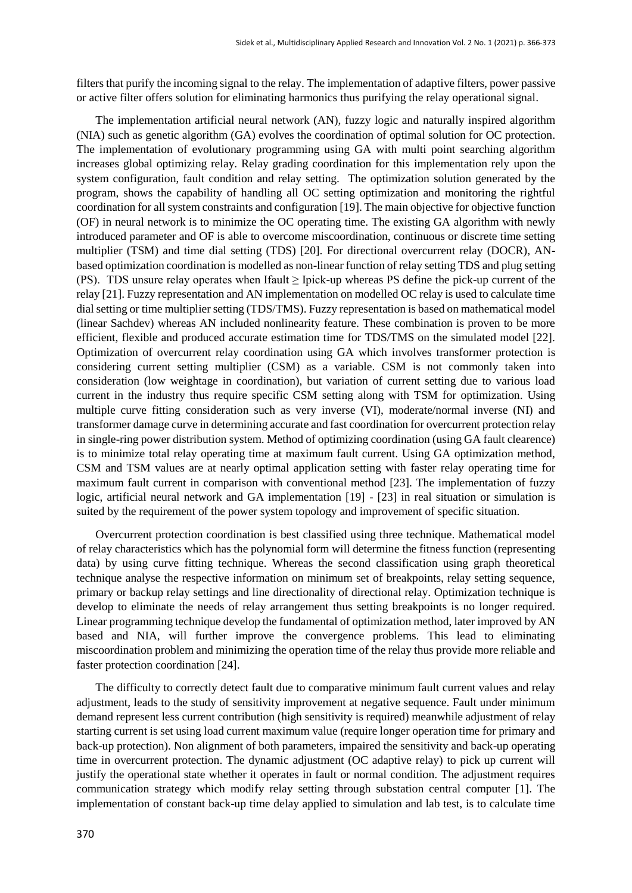filters that purify the incoming signal to the relay. The implementation of adaptive filters, power passive or active filter offers solution for eliminating harmonics thus purifying the relay operational signal.

The implementation artificial neural network (AN), fuzzy logic and naturally inspired algorithm (NIA) such as genetic algorithm (GA) evolves the coordination of optimal solution for OC protection. The implementation of evolutionary programming using GA with multi point searching algorithm increases global optimizing relay. Relay grading coordination for this implementation rely upon the system configuration, fault condition and relay setting. The optimization solution generated by the program, shows the capability of handling all OC setting optimization and monitoring the rightful coordination for all system constraints and configuration [19]. The main objective for objective function (OF) in neural network is to minimize the OC operating time. The existing GA algorithm with newly introduced parameter and OF is able to overcome miscoordination, continuous or discrete time setting multiplier (TSM) and time dial setting (TDS) [20]. For directional overcurrent relay (DOCR), ANbased optimization coordination is modelled as non-linear function of relay setting TDS and plug setting (PS). TDS unsure relay operates when Ifault  $\geq$  Ipick-up whereas PS define the pick-up current of the relay [21]. Fuzzy representation and AN implementation on modelled OC relay is used to calculate time dial setting or time multiplier setting (TDS/TMS). Fuzzy representation is based on mathematical model (linear Sachdev) whereas AN included nonlinearity feature. These combination is proven to be more efficient, flexible and produced accurate estimation time for TDS/TMS on the simulated model [22]. Optimization of overcurrent relay coordination using GA which involves transformer protection is considering current setting multiplier (CSM) as a variable. CSM is not commonly taken into consideration (low weightage in coordination), but variation of current setting due to various load current in the industry thus require specific CSM setting along with TSM for optimization. Using multiple curve fitting consideration such as very inverse (VI), moderate/normal inverse (NI) and transformer damage curve in determining accurate and fast coordination for overcurrent protection relay in single-ring power distribution system. Method of optimizing coordination (using GA fault clearence) is to minimize total relay operating time at maximum fault current. Using GA optimization method, CSM and TSM values are at nearly optimal application setting with faster relay operating time for maximum fault current in comparison with conventional method [23]. The implementation of fuzzy logic, artificial neural network and GA implementation [19] - [23] in real situation or simulation is suited by the requirement of the power system topology and improvement of specific situation.

Overcurrent protection coordination is best classified using three technique. Mathematical model of relay characteristics which has the polynomial form will determine the fitness function (representing data) by using curve fitting technique. Whereas the second classification using graph theoretical technique analyse the respective information on minimum set of breakpoints, relay setting sequence, primary or backup relay settings and line directionality of directional relay. Optimization technique is develop to eliminate the needs of relay arrangement thus setting breakpoints is no longer required. Linear programming technique develop the fundamental of optimization method, later improved by AN based and NIA, will further improve the convergence problems. This lead to eliminating miscoordination problem and minimizing the operation time of the relay thus provide more reliable and faster protection coordination [24].

The difficulty to correctly detect fault due to comparative minimum fault current values and relay adjustment, leads to the study of sensitivity improvement at negative sequence. Fault under minimum demand represent less current contribution (high sensitivity is required) meanwhile adjustment of relay starting current is set using load current maximum value (require longer operation time for primary and back-up protection). Non alignment of both parameters, impaired the sensitivity and back-up operating time in overcurrent protection. The dynamic adjustment (OC adaptive relay) to pick up current will justify the operational state whether it operates in fault or normal condition. The adjustment requires communication strategy which modify relay setting through substation central computer [1]. The implementation of constant back-up time delay applied to simulation and lab test, is to calculate time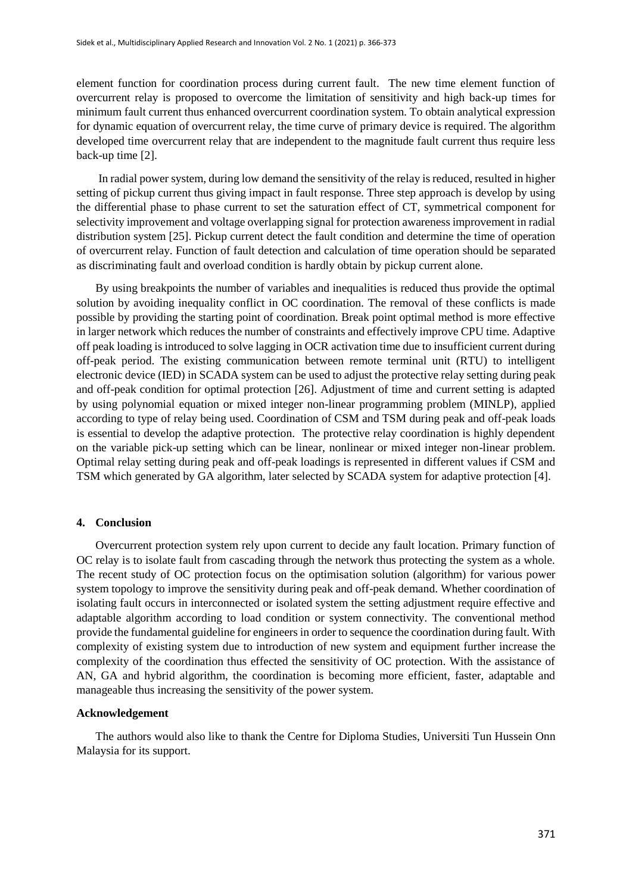element function for coordination process during current fault. The new time element function of overcurrent relay is proposed to overcome the limitation of sensitivity and high back-up times for minimum fault current thus enhanced overcurrent coordination system. To obtain analytical expression for dynamic equation of overcurrent relay, the time curve of primary device is required. The algorithm developed time overcurrent relay that are independent to the magnitude fault current thus require less back-up time [2].

In radial power system, during low demand the sensitivity of the relay is reduced, resulted in higher setting of pickup current thus giving impact in fault response. Three step approach is develop by using the differential phase to phase current to set the saturation effect of CT, symmetrical component for selectivity improvement and voltage overlapping signal for protection awareness improvement in radial distribution system [25]. Pickup current detect the fault condition and determine the time of operation of overcurrent relay. Function of fault detection and calculation of time operation should be separated as discriminating fault and overload condition is hardly obtain by pickup current alone.

By using breakpoints the number of variables and inequalities is reduced thus provide the optimal solution by avoiding inequality conflict in OC coordination. The removal of these conflicts is made possible by providing the starting point of coordination. Break point optimal method is more effective in larger network which reduces the number of constraints and effectively improve CPU time. Adaptive off peak loading is introduced to solve lagging in OCR activation time due to insufficient current during off-peak period. The existing communication between remote terminal unit (RTU) to intelligent electronic device (IED) in SCADA system can be used to adjust the protective relay setting during peak and off-peak condition for optimal protection [26]. Adjustment of time and current setting is adapted by using polynomial equation or mixed integer non-linear programming problem (MINLP), applied according to type of relay being used. Coordination of CSM and TSM during peak and off-peak loads is essential to develop the adaptive protection. The protective relay coordination is highly dependent on the variable pick-up setting which can be linear, nonlinear or mixed integer non-linear problem. Optimal relay setting during peak and off-peak loadings is represented in different values if CSM and TSM which generated by GA algorithm, later selected by SCADA system for adaptive protection [4].

### **4. Conclusion**

Overcurrent protection system rely upon current to decide any fault location. Primary function of OC relay is to isolate fault from cascading through the network thus protecting the system as a whole. The recent study of OC protection focus on the optimisation solution (algorithm) for various power system topology to improve the sensitivity during peak and off-peak demand. Whether coordination of isolating fault occurs in interconnected or isolated system the setting adjustment require effective and adaptable algorithm according to load condition or system connectivity. The conventional method provide the fundamental guideline for engineers in order to sequence the coordination during fault. With complexity of existing system due to introduction of new system and equipment further increase the complexity of the coordination thus effected the sensitivity of OC protection. With the assistance of AN, GA and hybrid algorithm, the coordination is becoming more efficient, faster, adaptable and manageable thus increasing the sensitivity of the power system.

## **Acknowledgement**

The authors would also like to thank the Centre for Diploma Studies, Universiti Tun Hussein Onn Malaysia for its support.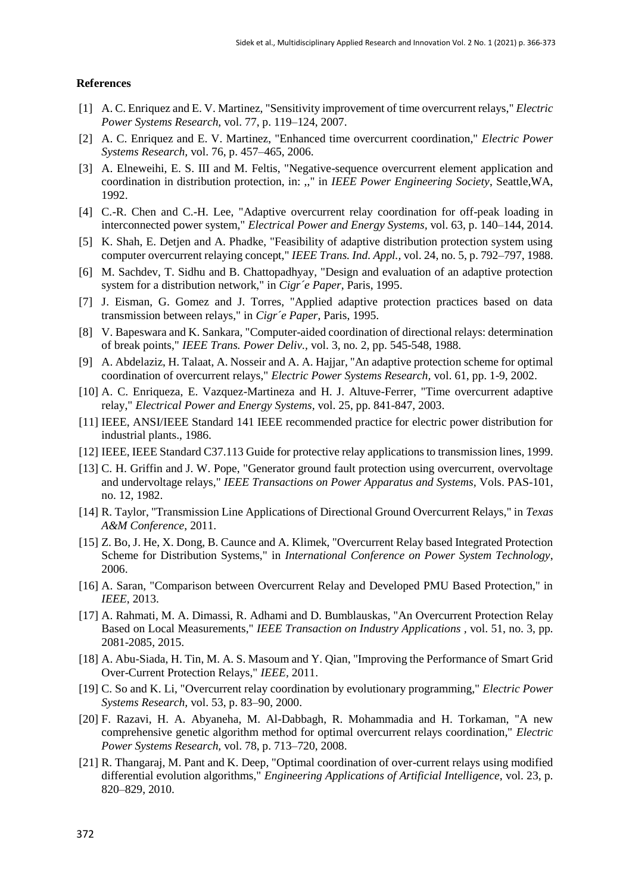#### **References**

- [1] A. C. Enriquez and E. V. Martinez, "Sensitivity improvement of time overcurrent relays," *Electric Power Systems Research,* vol. 77, p. 119–124, 2007.
- [2] A. C. Enriquez and E. V. Martinez, "Enhanced time overcurrent coordination," *Electric Power Systems Research,* vol. 76, p. 457–465, 2006.
- [3] A. Elneweihi, E. S. III and M. Feltis, "Negative-sequence overcurrent element application and coordination in distribution protection, in: ,," in *IEEE Power Engineering Society*, Seattle,WA, 1992.
- [4] C.-R. Chen and C.-H. Lee, "Adaptive overcurrent relay coordination for off-peak loading in interconnected power system," *Electrical Power and Energy Systems,* vol. 63, p. 140–144, 2014.
- [5] K. Shah, E. Detjen and A. Phadke, "Feasibility of adaptive distribution protection system using computer overcurrent relaying concept," *IEEE Trans. Ind. Appl.,* vol. 24, no. 5, p. 792–797, 1988.
- [6] M. Sachdev, T. Sidhu and B. Chattopadhyay, "Design and evaluation of an adaptive protection system for a distribution network," in *Cigr´e Paper*, Paris, 1995.
- [7] J. Eisman, G. Gomez and J. Torres, "Applied adaptive protection practices based on data transmission between relays," in *Cigr´e Paper*, Paris, 1995.
- [8] V. Bapeswara and K. Sankara, "Computer-aided coordination of directional relays: determination of break points," *IEEE Trans. Power Deliv.,* vol. 3, no. 2, pp. 545-548, 1988.
- [9] A. Abdelaziz, H. Talaat, A. Nosseir and A. A. Hajjar, "An adaptive protection scheme for optimal coordination of overcurrent relays," *Electric Power Systems Research,* vol. 61, pp. 1-9, 2002.
- [10] A. C. Enriqueza, E. Vazquez-Martineza and H. J. Altuve-Ferrer, "Time overcurrent adaptive relay," *Electrical Power and Energy Systems,* vol. 25, pp. 841-847, 2003.
- [11] IEEE, ANSI/IEEE Standard 141 IEEE recommended practice for electric power distribution for industrial plants., 1986.
- [12] IEEE, IEEE Standard C37.113 Guide for protective relay applications to transmission lines, 1999.
- [13] C. H. Griffin and J. W. Pope, "Generator ground fault protection using overcurrent, overvoltage and undervoltage relays," *IEEE Transactions on Power Apparatus and Systems,* Vols. PAS-101, no. 12, 1982.
- [14] R. Taylor, "Transmission Line Applications of Directional Ground Overcurrent Relays," in *Texas A&M Conference*, 2011.
- [15] Z. Bo, J. He, X. Dong, B. Caunce and A. Klimek, "Overcurrent Relay based Integrated Protection Scheme for Distribution Systems," in *International Conference on Power System Technology*, 2006.
- [16] A. Saran, "Comparison between Overcurrent Relay and Developed PMU Based Protection," in *IEEE*, 2013.
- [17] A. Rahmati, M. A. Dimassi, R. Adhami and D. Bumblauskas, "An Overcurrent Protection Relay Based on Local Measurements," *IEEE Transaction on Industry Applications ,* vol. 51, no. 3, pp. 2081-2085, 2015.
- [18] A. Abu-Siada, H. Tin, M. A. S. Masoum and Y. Qian, "Improving the Performance of Smart Grid Over-Current Protection Relays," *IEEE,* 2011.
- [19] C. So and K. Li, "Overcurrent relay coordination by evolutionary programming," *Electric Power Systems Research,* vol. 53, p. 83–90, 2000.
- [20] F. Razavi, H. A. Abyaneha, M. Al-Dabbagh, R. Mohammadia and H. Torkaman, "A new comprehensive genetic algorithm method for optimal overcurrent relays coordination," *Electric Power Systems Research,* vol. 78, p. 713–720, 2008.
- [21] R. Thangaraj, M. Pant and K. Deep, "Optimal coordination of over-current relays using modified differential evolution algorithms," *Engineering Applications of Artificial Intelligence,* vol. 23, p. 820–829, 2010.